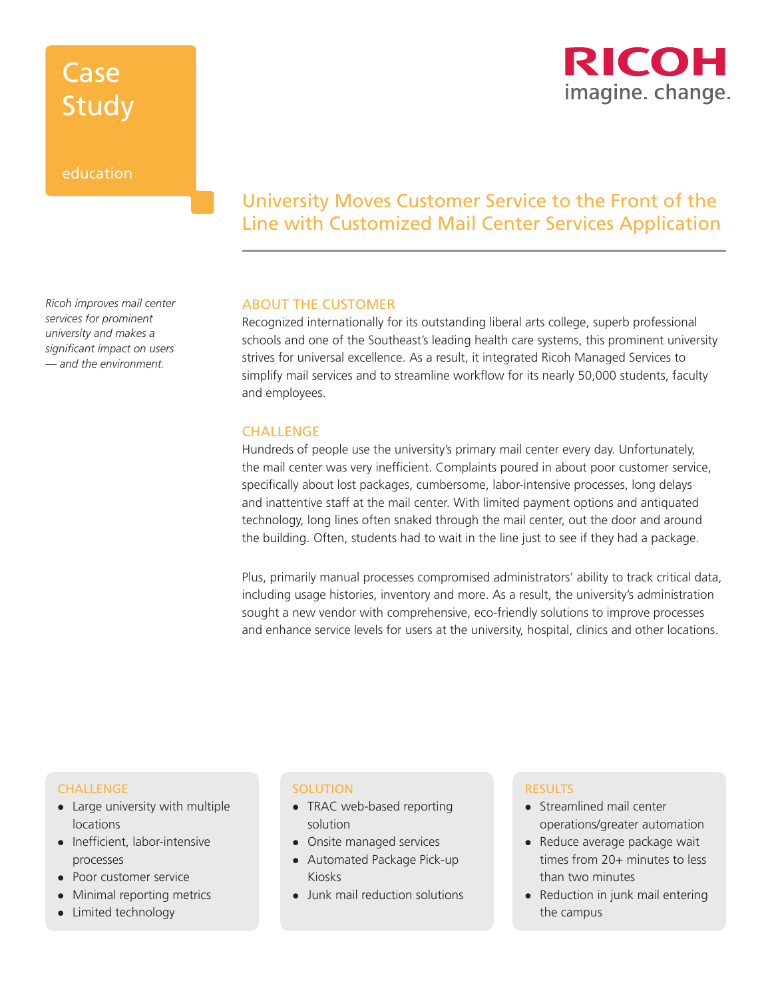# Case Study

### education

RICOH imagine. change.

# University Moves Customer Service to the Front of the Line with Customized Mail Center Services Application

### ABOUT THE CUSTOMER

Recognized internationally for its outstanding liberal arts college, superb professional schools and one of the Southeast's leading health care systems, this prominent university strives for universal excellence. As a result, it integrated Ricoh Managed Services to simplify mail services and to streamline workflow for its nearly 50,000 students, faculty and employees.

### **CHALLENGE**

Hundreds of people use the university's primary mail center every day. Unfortunately, the mail center was very inefficient. Complaints poured in about poor customer service, specifically about lost packages, cumbersome, labor-intensive processes, long delays and inattentive staff at the mail center. With limited payment options and antiquated technology, long lines often snaked through the mail center, out the door and around the building. Often, students had to wait in the line just to see if they had a package.

Plus, primarily manual processes compromised administrators' ability to track critical data, including usage histories, inventory and more. As a result, the university's administration sought a new vendor with comprehensive, eco-friendly solutions to improve processes and enhance service levels for users at the university, hospital, clinics and other locations.

#### CHALLENGE

- $\bullet$  Large university with multiple locations
- Inefficient, labor-intensive processes
- Poor customer service
- Minimal reporting metrics
- $\bullet$  Limited technology

#### **SOLUTION**

- $\bullet$  TRAC web-based reporting solution
- Onsite managed services
- Automated Package Pick-up Kiosks
- Junk mail reduction solutions

#### RESULTS

- Streamlined mail center operations/greater automation
- Reduce average package wait times from 20+ minutes to less than two minutes
- Reduction in junk mail entering the campus

*Ricoh improves mail center services for prominent university and makes a significant impact on users — and the environment.*